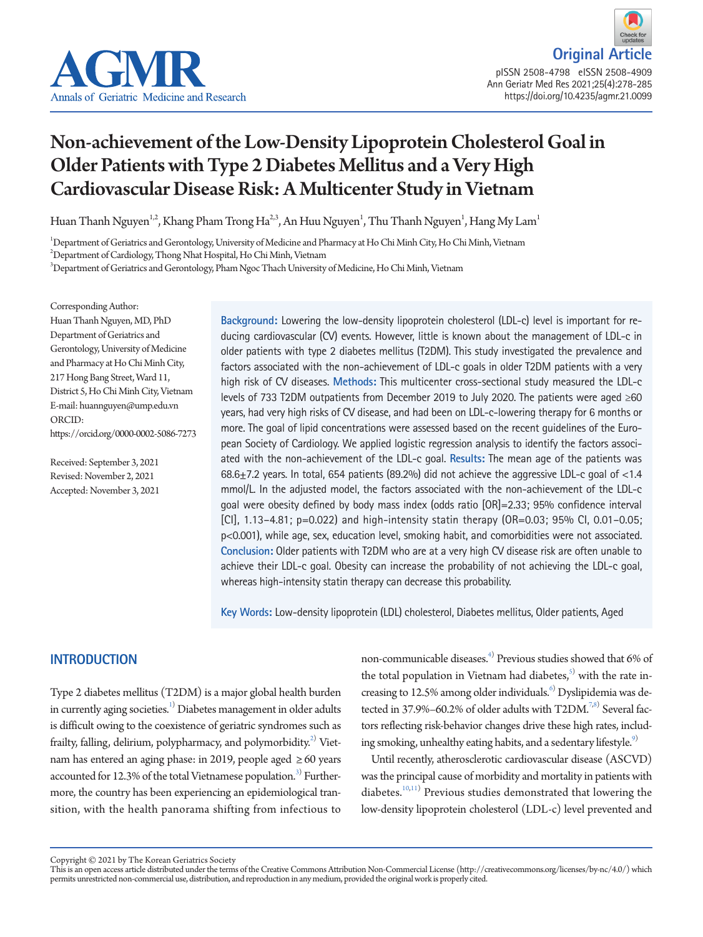

**Original Artic** pISSN 2508-4798 eISSN 2508-4909 Ann Geriatr Med Res 2021;25(4):278-285 https://doi.org/10.4235/agmr.21.0099

# Non-achievement of the Low-Density Lipoprotein Cholesterol Goal in Older Patients with Type 2 Diabetes Mellitus and a Very High Cardiovascular Disease Risk: A Multicenter Study in Vietnam

Huan Thanh Nguyen<sup>1,2</sup>, Khang Pham Trong Ha<sup>2,3</sup>, An Huu Nguyen<sup>1</sup>, Thu Thanh Nguyen<sup>1</sup>, Hang My Lam<sup>1</sup>

1 Department of Geriatrics and Gerontology, University of Medicine and Pharmacy at Ho Chi Minh City, Ho Chi Minh, Vietnam

 $^{2}$ Department of Cardiology, Thong Nhat Hospital, Ho Chi Minh, Vietnam

 $^3$ Department of Geriatrics and Gerontology, Pham Ngoc Thach University of Medicine, Ho Chi Minh, Vietnam

Corresponding Author:

Huan Thanh Nguyen, MD, PhD Department of Geriatrics and Gerontology, University of Medicine and Pharmacy at Ho Chi Minh City, 217 Hong Bang Street, Ward 11, District 5, Ho Chi Minh City, Vietnam E-mail: huannguyen@ump.edu.vn ORCID: https://orcid.org/0000-0002-5086-7273

Received: September 3, 2021 Revised: November 2, 2021 Accepted: November 3, 2021 **Background:** Lowering the low-density lipoprotein cholesterol (LDL-c) level is important for reducing cardiovascular (CV) events. However, little is known about the management of LDL-c in older patients with type 2 diabetes mellitus (T2DM). This study investigated the prevalence and factors associated with the non-achievement of LDL-c goals in older T2DM patients with a very high risk of CV diseases. **Methods:** This multicenter cross-sectional study measured the LDL-c levels of 733 T2DM outpatients from December 2019 to July 2020. The patients were aged ≥60 years, had very high risks of CV disease, and had been on LDL-c-lowering therapy for 6 months or more. The goal of lipid concentrations were assessed based on the recent guidelines of the European Society of Cardiology. We applied logistic regression analysis to identify the factors associated with the non-achievement of the LDL-c goal. **Results:** The mean age of the patients was 68.6±7.2 years. In total, 654 patients (89.2%) did not achieve the aggressive LDL-c goal of <1.4 mmol/L. In the adjusted model, the factors associated with the non-achievement of the LDL-c goal were obesity defined by body mass index (odds ratio [OR]=2.33; 95% confidence interval  $[C1]$ , 1.13–4.81; p=0.022) and high-intensity statin therapy (OR=0.03; 95% CI, 0.01–0.05; p<0.001), while age, sex, education level, smoking habit, and comorbidities were not associated. **Conclusion:** Older patients with T2DM who are at a very high CV disease risk are often unable to achieve their LDL-c goal. Obesity can increase the probability of not achieving the LDL-c goal, whereas high-intensity statin therapy can decrease this probability.

**Key Words:** Low-density lipoprotein (LDL) cholesterol, Diabetes mellitus, Older patients, Aged

# **INTRODUCTION**

Type 2 diabetes mellitus (T2DM) is a major global health burden in currently aging societies. $^{1)}$  Diabetes management in older adults is difficult owing to the coexistence of geriatric syndromes such as frailty, falling, delirium, polypharmacy, and polymorbidity. $^{2)}$  Vietnam has entered an aging phase: in 2019, people aged  $\geq 60$  years accounted for 12.[3](#page-5-2)% of the total Vietnamese population. $^{3)}$  Furthermore, the country has been experiencing an epidemiological transition, with the health panorama shifting from infectious to

non-communicable diseases.<sup>[4](#page-5-3))</sup> Previous studies showed that  $6\%$  of the total population in Vietnam had diabetes, $5$  with the rate in-creasing to 12.5% among older individuals.<sup>[6](#page-6-1))</sup> Dyslipidemia was detected in 37.9%–60.2% of older adults with  $T2DM.^{7,8)}$  $T2DM.^{7,8)}$  $T2DM.^{7,8)}$  Several factors reflecting risk-behavior changes drive these high rates, includ-ing smoking, unhealthy eating habits, and a sedentary lifestyle.<sup>[9](#page-6-4))</sup>

Until recently, atherosclerotic cardiovascular disease (ASCVD) was the principal cause of morbidity and mortality in patients with diabetes.<sup>[10,](#page-6-5)[11](#page-6-6))</sup> Previous studies demonstrated that lowering the low-density lipoprotein cholesterol (LDL-c) level prevented and

Copyright © 2021 by The Korean Geriatrics Society<br>This is an open access article distributed under the terms of the Creative Commons Attribution Non-Commercial License (http://creativecommons.org/licenses/by-nc/4.0/) which permits unrestricted non-commercial use, distribution, and reproduction in any medium, provided the original work is properly cited.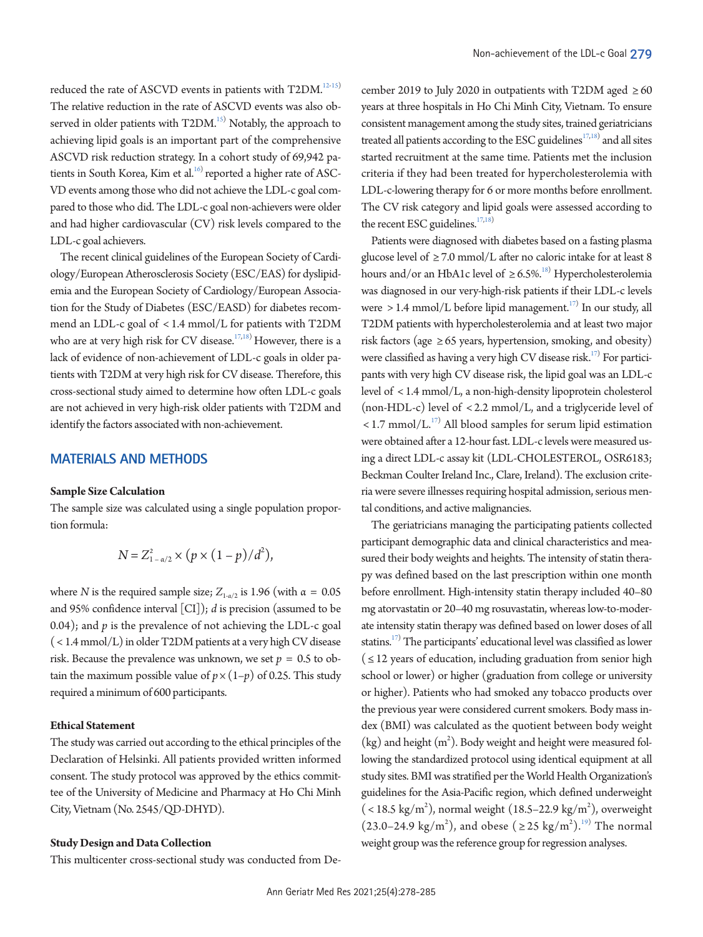reduced the rate of ASCVD events in patients with T2DM.<sup>12-[15\)](#page-6-8)</sup> The relative reduction in the rate of ASCVD events was also observed in older patients with T2DM.<sup>15)</sup> Notably, the approach to achieving lipid goals is an important part of the comprehensive ASCVD risk reduction strategy. In a cohort study of 69,942 patients in South Korea, Kim et al. $16$  reported a higher rate of ASC-VD events among those who did not achieve the LDL-c goal compared to those who did. The LDL-c goal non-achievers were older and had higher cardiovascular (CV) risk levels compared to the LDL-c goal achievers.

The recent clinical guidelines of the European Society of Cardiology/European Atherosclerosis Society (ESC/EAS) for dyslipidemia and the European Society of Cardiology/European Association for the Study of Diabetes (ESC/EASD) for diabetes recommend an LDL-c goal of < 1.4 mmol/L for patients with T2DM who are at very high risk for CV disease.<sup>[17](#page-6-10)[,18](#page-6-11))</sup> However, there is a lack of evidence of non-achievement of LDL-c goals in older patients with T2DM at very high risk for CV disease. Therefore, this cross-sectional study aimed to determine how often LDL-c goals are not achieved in very high-risk older patients with T2DM and identify the factors associated with non-achievement.

## **MATERIALS AND METHODS**

#### **Sample Size Calculation**

The sample size was calculated using a single population proportion formula:

$$
N = Z_{1-\alpha/2}^{2} \times (p \times (1-p)/d^{2}),
$$

where *N* is the required sample size;  $Z_{1-\alpha/2}$  is 1.96 (with  $\alpha = 0.05$ ) and 95% confidence interval [CI]); *d* is precision (assumed to be 0.04); and *p* is the prevalence of not achieving the LDL-c goal ( < 1.4 mmol/L) in older T2DM patients at a very high CV disease risk. Because the prevalence was unknown, we set  $p = 0.5$  to obtain the maximum possible value of  $p \times (1-p)$  of 0.25. This study required a minimum of 600 participants.

## **Ethical Statement**

The study was carried out according to the ethical principles of the Declaration of Helsinki. All patients provided written informed consent. The study protocol was approved by the ethics committee of the University of Medicine and Pharmacy at Ho Chi Minh City, Vietnam (No. 2545/QD-DHYD).

## **Study Design and Data Collection**

This multicenter cross-sectional study was conducted from De-

cember 2019 to July 2020 in outpatients with T2DM aged  $\geq 60$ years at three hospitals in Ho Chi Minh City, Vietnam. To ensure consistent management among the study sites, trained geriatricians treated all patients according to the ESC guidelines<sup>17,18)</sup> and all sites started recruitment at the same time. Patients met the inclusion criteria if they had been treated for hypercholesterolemia with LDL-c-lowering therapy for 6 or more months before enrollment. The CV risk category and lipid goals were assessed according to the recent ESC guidelines.<sup>17,18)</sup>

Patients were diagnosed with diabetes based on a fasting plasma glucose level of  $\geq$  7.0 mmol/L after no caloric intake for at least 8 hours and/or an HbA1c level of  $\geq 6.5\%$ .<sup>18)</sup> Hypercholesterolemia was diagnosed in our very-high-risk patients if their LDL-c levels were  $> 1.4$  mmol/L before lipid management.<sup>17)</sup> In our study, all T2DM patients with hypercholesterolemia and at least two major risk factors (age  $\geq 65$  years, hypertension, smoking, and obesity) were classified as having a very high CV disease risk.<sup>17)</sup> For participants with very high CV disease risk, the lipid goal was an LDL-c level of < 1.4 mmol/L, a non-high-density lipoprotein cholesterol (non-HDL-c) level of < 2.2 mmol/L, and a triglyceride level of  $<$  1.7 mmol/L.<sup>17)</sup> All blood samples for serum lipid estimation were obtained after a 12-hour fast. LDL-c levels were measured using a direct LDL-c assay kit (LDL-CHOLESTEROL, OSR6183; Beckman Coulter Ireland Inc., Clare, Ireland). The exclusion criteria were severe illnesses requiring hospital admission, serious mental conditions, and active malignancies.

The geriatricians managing the participating patients collected participant demographic data and clinical characteristics and measured their body weights and heights. The intensity of statin therapy was defined based on the last prescription within one month before enrollment. High-intensity statin therapy included 40–80 mg atorvastatin or 20–40 mg rosuvastatin, whereas low-to-moderate intensity statin therapy was defined based on lower doses of all statins.<sup>17)</sup> The participants' educational level was classified as lower  $($  ≤ 12 years of education, including graduation from senior high school or lower) or higher (graduation from college or university or higher). Patients who had smoked any tobacco products over the previous year were considered current smokers. Body mass index (BMI) was calculated as the quotient between body weight  $(kg)$  and height  $(m^2)$ . Body weight and height were measured following the standardized protocol using identical equipment at all study sites. BMI was stratified per the World Health Organization's guidelines for the Asia-Pacific region, which defined underweight  $(<$  18.5 kg/m<sup>2</sup>), normal weight (18.5–22.9 kg/m<sup>2</sup>), overweight  $(23.0-24.9 \text{ kg/m}^2)$ , and obese  $(225 \text{ kg/m}^2)$ .<sup>[19](#page-6-12))</sup> The normal weight group was the reference group for regression analyses.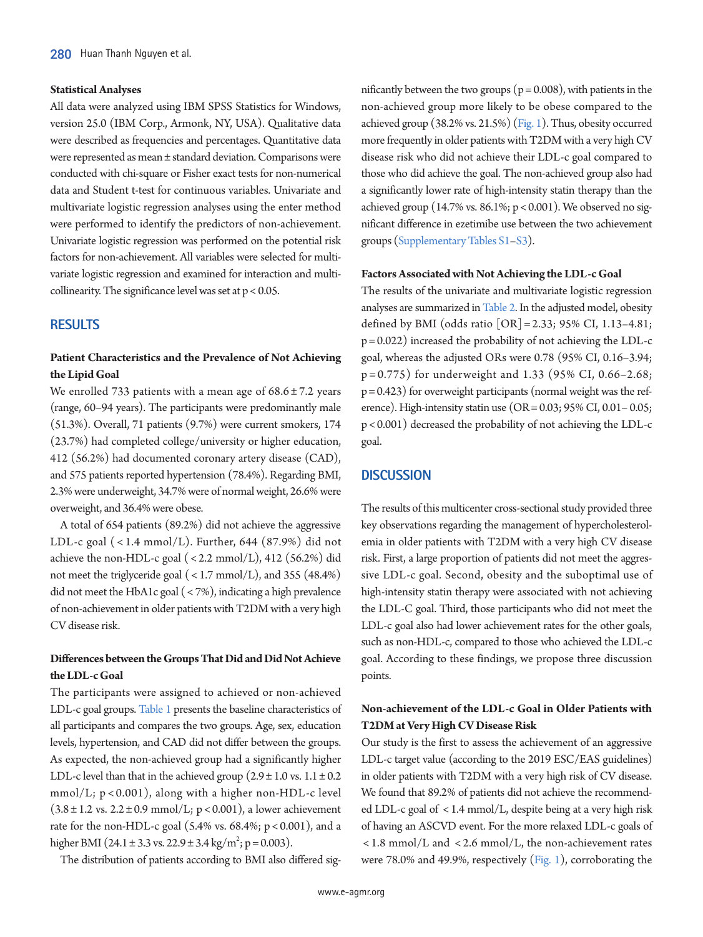#### **Statistical Analyses**

All data were analyzed using IBM SPSS Statistics for Windows, version 25.0 (IBM Corp., Armonk, NY, USA). Qualitative data were described as frequencies and percentages. Quantitative data were represented as mean ± standard deviation. Comparisons were conducted with chi-square or Fisher exact tests for non-numerical data and Student t-test for continuous variables. Univariate and multivariate logistic regression analyses using the enter method were performed to identify the predictors of non-achievement. Univariate logistic regression was performed on the potential risk factors for non-achievement. All variables were selected for multivariate logistic regression and examined for interaction and multicollinearity. The significance level was set at  $p < 0.05$ .

## **RESULTS**

# **Patient Characteristics and the Prevalence of Not Achieving the Lipid Goal**

We enrolled 733 patients with a mean age of  $68.6 \pm 7.2$  years (range, 60–94 years). The participants were predominantly male (51.3%). Overall, 71 patients (9.7%) were current smokers, 174 (23.7%) had completed college/university or higher education, 412 (56.2%) had documented coronary artery disease (CAD), and 575 patients reported hypertension (78.4%). Regarding BMI, 2.3% were underweight, 34.7% were of normal weight, 26.6% were overweight, and 36.4% were obese.

A total of 654 patients (89.2%) did not achieve the aggressive LDL-c goal  $(< 1.4$  mmol/L). Further, 644  $(87.9%)$  did not achieve the non-HDL-c goal  $(< 2.2$  mmol/L), 412  $(56.2%)$  did not meet the triglyceride goal ( $\langle 1.7 \text{ mmol/L} \rangle$ , and 355 (48.4%) did not meet the HbA1c goal ( < 7%), indicating a high prevalence of non-achievement in older patients with T2DM with a very high CV disease risk.

# **Differences between the Groups That Did and Did Not Achieve the LDL-c Goal**

The participants were assigned to achieved or non-achieved LDL-c goal groups[. Table 1](#page-3-0) presents the baseline characteristics of all participants and compares the two groups. Age, sex, education levels, hypertension, and CAD did not differ between the groups. As expected, the non-achieved group had a significantly higher LDL-c level than that in the achieved group  $(2.9 \pm 1.0 \text{ vs. } 1.1 \pm 0.2$  $mmol/L$ ;  $p < 0.001$ ), along with a higher non-HDL-c level  $(3.8 \pm 1.2 \text{ vs. } 2.2 \pm 0.9 \text{ mmol/L}; p < 0.001)$ , a lower achievement rate for the non-HDL-c goal (5.4% vs. 68.4%;  $p < 0.001$ ), and a higher BMI (24.1 ± 3.3 vs. 22.9 ± 3.4 kg/m<sup>2</sup>; p = 0.003).

The distribution of patients according to BMI also differed sig-

nificantly between the two groups ( $p = 0.008$ ), with patients in the non-achieved group more likely to be obese compared to the achieved group (38.2% vs. 21.5%) [\(Fig. 1](#page-3-1)). Thus, obesity occurred more frequently in older patients with T2DM with a very high CV disease risk who did not achieve their LDL-c goal compared to those who did achieve the goal. The non-achieved group also had a significantly lower rate of high-intensity statin therapy than the achieved group (14.7% vs. 86.1%;  $p < 0.001$ ). We observed no significant difference in ezetimibe use between the two achievement groups [\(Supplementary Tables S1–S3](#page-5-4)).

#### **Factors Associated with Not Achieving the LDL-c Goal**

The results of the univariate and multivariate logistic regression analyses are summarized i[n Table 2](#page-4-0). In the adjusted model, obesity defined by BMI (odds ratio [OR] = 2.33; 95% CI, 1.13–4.81;  $p = 0.022$ ) increased the probability of not achieving the LDL-c goal, whereas the adjusted ORs were 0.78 (95% CI, 0.16–3.94; p = 0.775) for underweight and 1.33 (95% CI, 0.66–2.68;  $p = 0.423$ ) for overweight participants (normal weight was the reference). High-intensity statin use  $(OR = 0.03; 95\% \text{ CI}, 0.01 - 0.05;$ p < 0.001) decreased the probability of not achieving the LDL-c goal.

## **DISCUSSION**

The results of this multicenter cross-sectional study provided three key observations regarding the management of hypercholesterolemia in older patients with T2DM with a very high CV disease risk. First, a large proportion of patients did not meet the aggressive LDL-c goal. Second, obesity and the suboptimal use of high-intensity statin therapy were associated with not achieving the LDL-C goal. Third, those participants who did not meet the LDL-c goal also had lower achievement rates for the other goals, such as non-HDL-c, compared to those who achieved the LDL-c goal. According to these findings, we propose three discussion points.

# **Non-achievement of the LDL-c Goal in Older Patients with T2DM at Very High CV Disease Risk**

Our study is the first to assess the achievement of an aggressive LDL-c target value (according to the 2019 ESC/EAS guidelines) in older patients with T2DM with a very high risk of CV disease. We found that 89.2% of patients did not achieve the recommended LDL-c goal of < 1.4 mmol/L, despite being at a very high risk of having an ASCVD event. For the more relaxed LDL-c goals of < 1.8 mmol/L and < 2.6 mmol/L, the non-achievement rates were 78.0% and 49.9%, respectively [\(Fig.](#page-3-1) [1\)](#page-3-1), corroborating the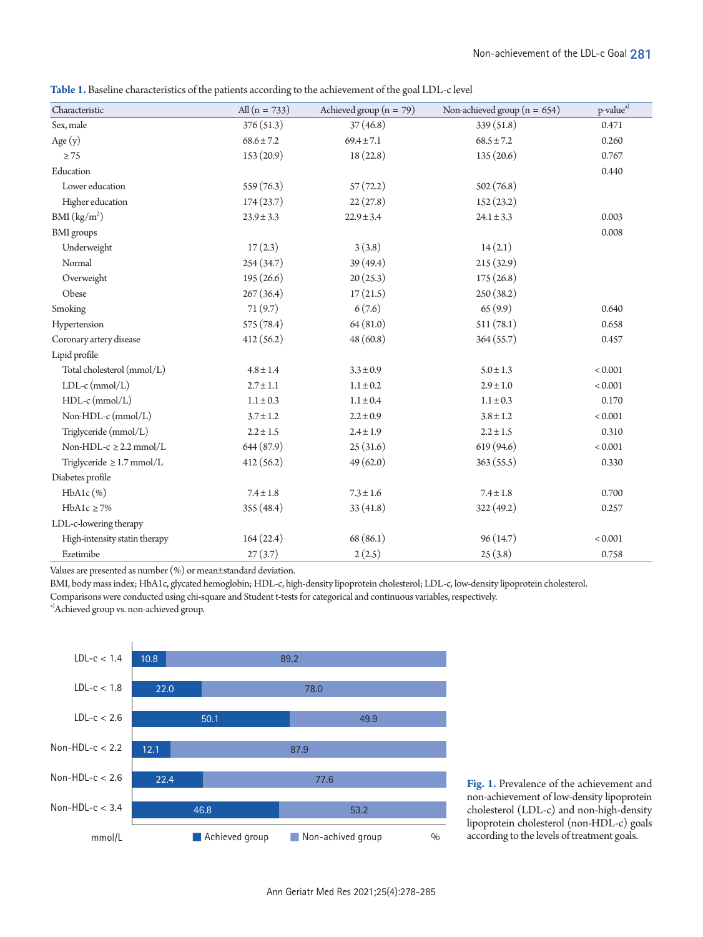<span id="page-3-0"></span>**Table 1.** Baseline characteristics of the patients according to the achievement of the goal LDL-c level

| Characteristic                 | All $(n = 733)$ | Achieved group ( $n = 79$ )      | Non-achieved group ( $n = 654$ ) | p-value <sup>a)</sup> |
|--------------------------------|-----------------|----------------------------------|----------------------------------|-----------------------|
| Sex, male                      | 376(51.3)       | 37(46.8)                         | 339 (51.8)                       | 0.471                 |
| Age $(y)$                      | $68.6 \pm 7.2$  | $69.4 \pm 7.1$<br>$68.5 \pm 7.2$ |                                  | 0.260                 |
| $\geq 75$                      | 153(20.9)       | 18(22.8)<br>135(20.6)            |                                  | 0.767                 |
| Education                      |                 |                                  |                                  | 0.440                 |
| Lower education                | 559(76.3)       | 57(72.2)                         | 502(76.8)                        |                       |
| Higher education               | 174(23.7)       | 22(27.8)                         | 152(23.2)                        |                       |
| BMI (kg/m <sup>2</sup> )       | $23.9 \pm 3.3$  | $22.9 \pm 3.4$                   | $24.1 \pm 3.3$                   | 0.003                 |
| <b>BMI</b> groups              |                 |                                  |                                  | 0.008                 |
| Underweight                    | 17(2.3)         | 3(3.8)                           | 14(2.1)                          |                       |
| Normal                         | 254(34.7)       | 39(49.4)                         | 215(32.9)                        |                       |
| Overweight                     | 195(26.6)       | 20(25.3)                         | 175(26.8)                        |                       |
| Obese                          | 267(36.4)       | 17(21.5)                         | 250(38.2)                        |                       |
| Smoking                        | 71(9.7)         | 6(7.6)                           | 65(9.9)                          | 0.640                 |
| Hypertension                   | 575 (78.4)      | 64(81.0)                         | 511(78.1)                        | 0.658                 |
| Coronary artery disease        | 412(56.2)       | 48(60.8)                         | 364(55.7)                        | 0.457                 |
| Lipid profile                  |                 |                                  |                                  |                       |
| Total cholesterol (mmol/L)     | $4.8 \pm 1.4$   | $3.3 \pm 0.9$                    | $5.0 \pm 1.3$                    | < 0.001               |
| $LDL-c$ (mmol/L)               | $2.7 \pm 1.1$   | $1.1 \pm 0.2$                    | $2.9 \pm 1.0$                    | < 0.001               |
| $HDL-c$ (mmol/L)               | $1.1 \pm 0.3$   | $1.1 \pm 0.4$                    | $1.1 \pm 0.3$                    | 0.170                 |
| Non-HDL-c (mmol/L)             | $3.7 \pm 1.2$   | $2.2 \pm 0.9$                    | $3.8 \pm 1.2$                    | $< 0.001\,$           |
| Triglyceride (mmol/L)          | $2.2 \pm 1.5$   | $2.4 \pm 1.9$                    | $2.2 \pm 1.5$                    | 0.310                 |
| Non-HDL- $c \geq 2.2$ mmol/L   | 644(87.9)       | 25(31.6)                         | 619 (94.6)                       | < 0.001               |
| Triglyceride $\geq 1.7$ mmol/L | 412(56.2)       | 49(62.0)                         | 363(55.5)                        | 0.330                 |
| Diabetes profile               |                 |                                  |                                  |                       |
| $HbA1c$ (%)                    | $7.4 \pm 1.8$   | $7.3 \pm 1.6$                    | $7.4 \pm 1.8$                    | 0.700                 |
| $HbA1c \geq 7\%$               | 355(48.4)       | 33(41.8)                         | 322(49.2)                        | 0.257                 |
| LDL-c-lowering therapy         |                 |                                  |                                  |                       |
| High-intensity statin therapy  | 164(22.4)       | 68(86.1)                         | 96(14.7)                         | < 0.001               |
| Ezetimibe                      | 27(3.7)         | 2(2.5)                           | 25(3.8)                          | 0.758                 |

Values are presented as number (%) or mean±standard deviation.

BMI, body mass index; HbA1c, glycated hemoglobin; HDL-c, high-density lipoprotein cholesterol; LDL-c, low-density lipoprotein cholesterol.

Comparisons were conducted using chi-square and Student t-tests for categorical and continuous variables, respectively.

a)Achieved group vs. non-achieved group.

<span id="page-3-1"></span>

**Fig. 1.** Prevalence of the achievement and non-achievement of low-density lipoprotein cholesterol (LDL-c) and non-high-density lipoprotein cholesterol (non-HDL-c) goals according to the levels of treatment goals.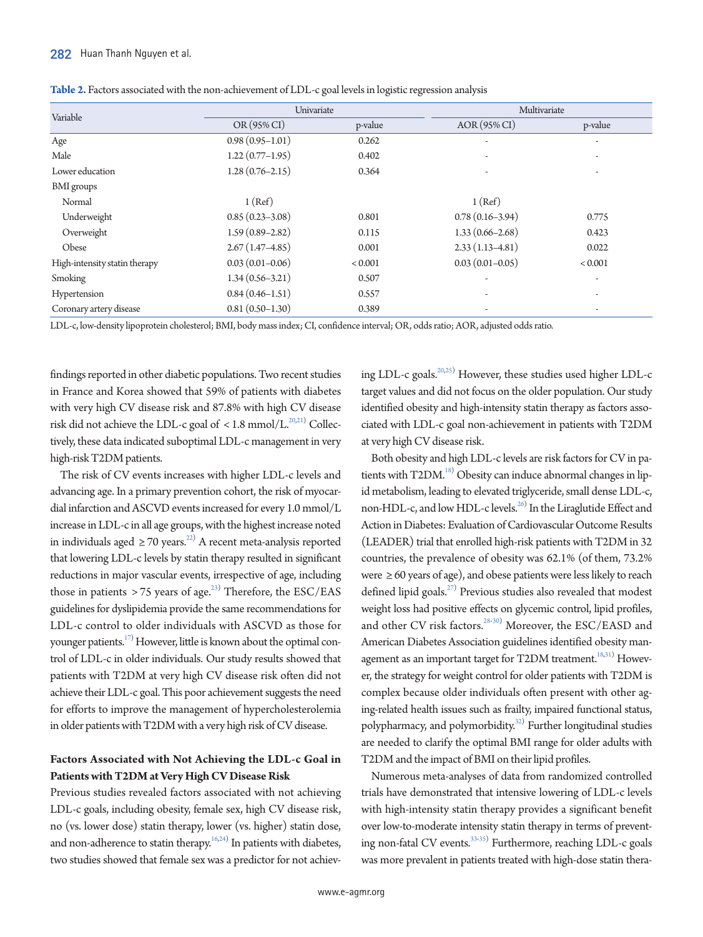|                               | Univariate          |         | Multivariate        |         |  |
|-------------------------------|---------------------|---------|---------------------|---------|--|
| Variable                      | OR (95% CI)         | p-value | AOR (95% CI)        | p-value |  |
| Age                           | $0.98(0.95 - 1.01)$ | 0.262   |                     | ۰       |  |
| Male                          | $1.22(0.77-1.95)$   | 0.402   |                     | ٠       |  |
| Lower education               | $1.28(0.76 - 2.15)$ | 0.364   |                     |         |  |
| <b>BMI</b> groups             |                     |         |                     |         |  |
| Normal                        | 1 (Ref)             |         | 1 (Ref)             |         |  |
| Underweight                   | $0.85(0.23 - 3.08)$ | 0.801   | $0.78(0.16-3.94)$   | 0.775   |  |
| Overweight                    | $1.59(0.89 - 2.82)$ | 0.115   | $1.33(0.66 - 2.68)$ | 0.423   |  |
| Obese                         | $2.67(1.47-4.85)$   | 0.001   | $2.33(1.13 - 4.81)$ | 0.022   |  |
| High-intensity statin therapy | $0.03(0.01 - 0.06)$ | < 0.001 | $0.03(0.01 - 0.05)$ | < 0.001 |  |
| Smoking                       | $1.34(0.56-3.21)$   | 0.507   | ۰                   | ٠       |  |
| Hypertension                  | $0.84(0.46 - 1.51)$ | 0.557   |                     |         |  |
| Coronary artery disease       | $0.81(0.50-1.30)$   | 0.389   |                     |         |  |

<span id="page-4-0"></span>

| Table 2. Factors associated with the non-achievement of LDL-c goal levels in logistic regression analysis |  |  |  |
|-----------------------------------------------------------------------------------------------------------|--|--|--|
|                                                                                                           |  |  |  |

LDL-c, low-density lipoprotein cholesterol; BMI, body mass index; CI, confidence interval; OR, odds ratio; AOR, adjusted odds ratio.

findings reported in other diabetic populations. Two recent studies in France and Korea showed that 59% of patients with diabetes with very high CV disease risk and 87.8% with high CV disease risk did not achieve the LDL-c goal of < 1.8 mmol/L. $^{20,21)}$  $^{20,21)}$  $^{20,21)}$  $^{20,21)}$  Collectively, these data indicated suboptimal LDL-c management in very high-risk T2DM patients.

The risk of CV events increases with higher LDL-c levels and advancing age. In a primary prevention cohort, the risk of myocardial infarction and ASCVD events increased for every 1.0 mmol/L increase in LDL-c in all age groups, with the highest increase noted in individuals aged  $\geq 70$  years.<sup>[22](#page-6-14))</sup> A recent meta-analysis reported that lowering LDL-c levels by statin therapy resulted in significant reductions in major vascular events, irrespective of age, including those in patients  $> 75$  years of age.<sup>[23\)](#page-6-15)</sup> Therefore, the ESC/EAS guidelines for dyslipidemia provide the same recommendations for LDL-c control to older individuals with ASCVD as those for younger patients.<sup>17)</sup> However, little is known about the optimal control of LDL-c in older individuals. Our study results showed that patients with T2DM at very high CV disease risk often did not achieve their LDL-c goal. This poor achievement suggests the need for efforts to improve the management of hypercholesterolemia in older patients with T2DM with a very high risk of CV disease.

# **Factors Associated with Not Achieving the LDL-c Goal in Patients with T2DM at Very High CV Disease Risk**

Previous studies revealed factors associated with not achieving LDL-c goals, including obesity, female sex, high CV disease risk, no (vs. lower dose) statin therapy, lower (vs. higher) statin dose, and non-adherence to statin therapy. $16,24)$  $16,24)$  $16,24)$  In patients with diabetes, two studies showed that female sex was a predictor for not achiev-

ing LDL-c goals.<sup>20,[25](#page-6-17))</sup> However, these studies used higher LDL-c target values and did not focus on the older population. Our study identified obesity and high-intensity statin therapy as factors associated with LDL-c goal non-achievement in patients with T2DM at very high CV disease risk.

Both obesity and high LDL-c levels are risk factors for CV in patients with T2DM.<sup>18)</sup> Obesity can induce abnormal changes in lipid metabolism, leading to elevated triglyceride, small dense LDL-c, non-HDL-c, and low HDL-c levels.<sup>[26](#page-6-18))</sup> In the Liraglutide Effect and Action in Diabetes: Evaluation of Cardiovascular Outcome Results (LEADER) trial that enrolled high-risk patients with T2DM in 32 countries, the prevalence of obesity was 62.1% (of them, 73.2% were ≥ 60 years of age), and obese patients were less likely to reach defined lipid goals.<sup>27)</sup> Previous studies also revealed that modest weight loss had positive effects on glycemic control, lipid profiles, and other CV risk factors.<sup>[28-](#page-7-0)[30](#page-7-1)</sup>) Moreover, the ESC/EASD and American Diabetes Association guidelines identified obesity man-agement as an important target for T2DM treatment.<sup>18,[31](#page-7-2)</sup>) However, the strategy for weight control for older patients with T2DM is complex because older individuals often present with other aging-related health issues such as frailty, impaired functional status, polypharmacy, and polymorbidity.<sup>[32](#page-7-3))</sup> Further longitudinal studies are needed to clarify the optimal BMI range for older adults with T2DM and the impact of BMI on their lipid profiles.

Numerous meta-analyses of data from randomized controlled trials have demonstrated that intensive lowering of LDL-c levels with high-intensity statin therapy provides a significant benefit over low-to-moderate intensity statin therapy in terms of prevent-ing non-fatal CV events.<sup>[33](#page-7-4)[-35\)](#page-7-5)</sup> Furthermore, reaching LDL-c goals was more prevalent in patients treated with high-dose statin thera-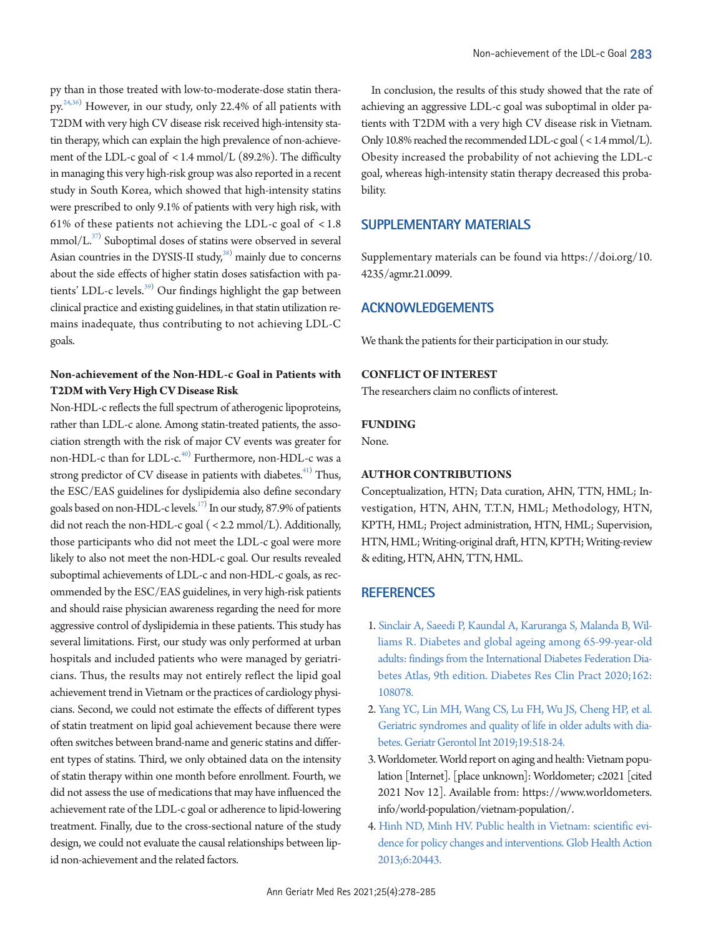py than in those treated with low-to-moderate-dose statin therapy.[24,](#page-6-16)[36\)](#page-7-6) However, in our study, only 22.4% of all patients with T2DM with very high CV disease risk received high-intensity statin therapy, which can explain the high prevalence of non-achievement of the LDL-c goal of < 1.4 mmol/L (89.2%). The difficulty in managing this very high-risk group was also reported in a recent study in South Korea, which showed that high-intensity statins were prescribed to only 9.1% of patients with very high risk, with 61% of these patients not achieving the LDL-c goal of  $\langle 1.8 \rangle$  $mmol/L<sup>37)</sup>$  $mmol/L<sup>37)</sup>$  $mmol/L<sup>37)</sup>$  Suboptimal doses of statins were observed in several Asian countries in the DYSIS-II study, $38$ ) mainly due to concerns about the side effects of higher statin doses satisfaction with patients' LDL-c levels.<sup>39)</sup> Our findings highlight the gap between clinical practice and existing guidelines, in that statin utilization remains inadequate, thus contributing to not achieving LDL-C goals.

# **Non-achievement of the Non-HDL-c Goal in Patients with T2DM with Very High CV Disease Risk**

Non-HDL-c reflects the full spectrum of atherogenic lipoproteins, rather than LDL-c alone. Among statin-treated patients, the association strength with the risk of major CV events was greater for non-HDL-c than for LDL-c.<sup>[40](#page-7-10))</sup> Furthermore, non-HDL-c was a strong predictor of CV disease in patients with diabetes. $41)$  Thus, the ESC/EAS guidelines for dyslipidemia also define secondary goals based on non-HDL-c levels.<sup>17)</sup> In our study, 87.9% of patients did not reach the non-HDL-c goal ( < 2.2 mmol/L). Additionally, those participants who did not meet the LDL-c goal were more likely to also not meet the non-HDL-c goal. Our results revealed suboptimal achievements of LDL-c and non-HDL-c goals, as recommended by the ESC/EAS guidelines, in very high-risk patients and should raise physician awareness regarding the need for more aggressive control of dyslipidemia in these patients. This study has several limitations. First, our study was only performed at urban hospitals and included patients who were managed by geriatricians. Thus, the results may not entirely reflect the lipid goal achievement trend in Vietnam or the practices of cardiology physicians. Second, we could not estimate the effects of different types of statin treatment on lipid goal achievement because there were often switches between brand-name and generic statins and different types of statins. Third, we only obtained data on the intensity of statin therapy within one month before enrollment. Fourth, we did not assess the use of medications that may have influenced the achievement rate of the LDL-c goal or adherence to lipid-lowering treatment. Finally, due to the cross-sectional nature of the study design, we could not evaluate the causal relationships between lipid non-achievement and the related factors.

In conclusion, the results of this study showed that the rate of achieving an aggressive LDL-c goal was suboptimal in older patients with T2DM with a very high CV disease risk in Vietnam. Only 10.8% reached the recommended LDL-c goal (<1.4 mmol/L). Obesity increased the probability of not achieving the LDL-c goal, whereas high-intensity statin therapy decreased this probability.

# <span id="page-5-4"></span>**SUPPLEMENTARY MATERIALS**

Supplementary materials can be found via [https://doi.org/10.](https://doi.org/10.4235/agmr.21.0099) [4235/agmr.21.0099](https://doi.org/10.4235/agmr.21.0099).

## **ACKNOWLEDGEMENTS**

We thank the patients for their participation in our study.

## **CONFLICT OF INTEREST**

The researchers claim no conflicts of interest.

#### **FUNDING**

None.

## **AUTHOR CONTRIBUTIONS**

Conceptualization, HTN; Data curation, AHN, TTN, HML; Investigation, HTN, AHN, T.T.N, HML; Methodology, HTN, KPTH, HML; Project administration, HTN, HML; Supervision, HTN, HML; Writing-original draft, HTN, KPTH; Writing-review & editing, HTN, AHN, TTN, HML.

## **REFERENCES**

- <span id="page-5-0"></span>1. [Sinclair A, Saeedi P, Kaundal A, Karuranga S, Malanda B, Wil](https://doi.org/10.1016/j.diabres.2020.108078)[liams R. Diabetes and global ageing among 65-99-year-old](https://doi.org/10.1016/j.diabres.2020.108078)  [adults: findings from the International Diabetes Federation Dia](https://doi.org/10.1016/j.diabres.2020.108078)[betes Atlas, 9th edition. Diabetes Res Clin Pract](https://doi.org/10.1016/j.diabres.2020.108078) 2020;162: 108078.
- <span id="page-5-1"></span>2. [Yang YC, Lin MH, Wang CS, Lu FH, Wu JS, Cheng HP, et al.](https://doi.org/10.1111/ggi.13654)  [Geriatric syndromes and quality of life in older adults with dia](https://doi.org/10.1111/ggi.13654)[betes. Geriatr Gerontol Int 2019;19:518-24.](https://doi.org/10.1111/ggi.13654)
- <span id="page-5-2"></span>3. Worldometer. World report on aging and health: Vietnam population [Internet]. [place unknown]: Worldometer; c2021 [cited 2021 Nov 12]. Available from: https:[//www.worldometers.](www.worldometers.info/world-population/vietnam-population/.) [info/world-population/vietnam-population/.](www.worldometers.info/world-population/vietnam-population/.)
- <span id="page-5-3"></span>4[. Hinh ND, Minh HV. Public health in Vietnam: scientific evi](https://doi.org/10.3402/gha.v6i0.20443)[dence for policy changes and interventions. Glob Health Action](https://doi.org/10.3402/gha.v6i0.20443)  [2013;6:20443](https://doi.org/10.3402/gha.v6i0.20443).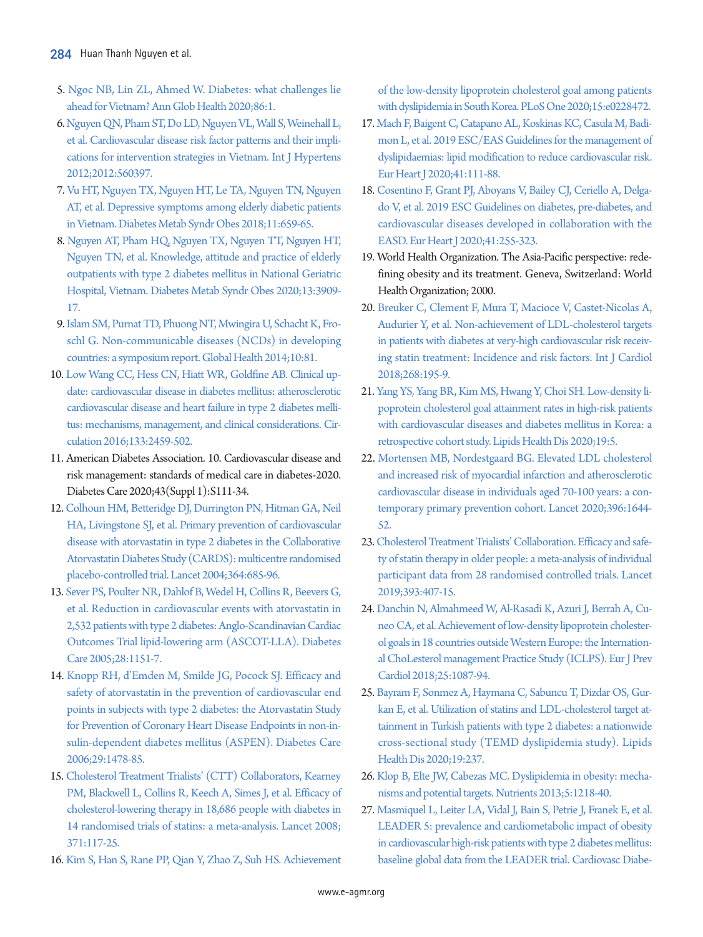- <span id="page-6-0"></span>[5. Ngoc NB, Lin ZL, Ahmed W. Diabetes: what challenges lie](https://doi.org/10.5334/aogh.2526)  [ahead for Vietnam? Ann Glob Health 2020;86:1](https://doi.org/10.5334/aogh.2526).
- <span id="page-6-1"></span>[6. Nguyen QN, Pham ST, Do LD, Nguyen VL, Wall S, Weinehall L,](https://doi.org/10.1155/2012/560397)  [et al. Cardiovascular disease risk factor patterns and their impli](https://doi.org/10.1155/2012/560397)[cations for intervention strategies in Vietnam. Int J Hypertens](https://doi.org/10.1155/2012/560397)  [2012;2012:560397](https://doi.org/10.1155/2012/560397).
- <span id="page-6-2"></span>[7. Vu HT, Nguyen TX, Nguyen HT, Le TA, Nguyen TN, Nguyen](https://doi.org/10.2147/dmso.s179071)  [AT, et al. Depressive symptoms among elderly diabetic patients](https://doi.org/10.2147/dmso.s179071)  [in Vietnam. Diabetes Metab Syndr Obes 2018;11:659-65.](https://doi.org/10.2147/dmso.s179071)
- <span id="page-6-3"></span>[8. Nguyen AT, Pham HQ, Nguyen TX, Nguyen TT, Nguyen HT,](https://doi.org/10.2147/dmso.s267866)  [Nguyen TN, et al. Knowledge, attitude and practice of elderly](https://doi.org/10.2147/dmso.s267866)  [outpatients with type 2 diabetes mellitus in National Geriatric](https://doi.org/10.2147/dmso.s267866)  [Hospital, Vietnam. Diabetes Metab Syndr Obes](https://doi.org/10.2147/dmso.s267866) 2020;13:3909- 17.
- <span id="page-6-4"></span>[9. Islam SM, Purnat TD, Phuong NT, Mwingira U, Schacht K, Fro](https://doi.org/10.1186/s12992-014-0081-9)[schl G. Non-communicable diseases \(NCDs\) in developing](https://doi.org/10.1186/s12992-014-0081-9)  [countries: a symposium report. Global Health 2014;10:81.](https://doi.org/10.1186/s12992-014-0081-9)
- <span id="page-6-5"></span>1[0. Low Wang CC, Hess CN, Hiatt WR, Goldfine AB. Clinical up](https://doi.org/10.1161/circulationaha.116.022194)[date: cardiovascular disease in diabetes mellitus: atherosclerotic](https://doi.org/10.1161/circulationaha.116.022194)  [cardiovascular disease and heart failure in type 2 diabetes melli](https://doi.org/10.1161/circulationaha.116.022194)[tus: mechanisms, management, and clinica](https://doi.org/10.1161/circulationaha.116.022194)l considerations. Circulation 2016;133:2459-502.
- <span id="page-6-6"></span>11. American Diabetes Association. 10. Cardiovascular disease and risk management: standards of medical care in diabetes-2020. Diabetes Care 2020;43(Suppl 1):S111-34.
- <span id="page-6-7"></span>1[2. Colhoun HM, Betteridge DJ, Durrington PN, Hitman GA, Neil](https://doi.org/10.1016/s0140-6736(04)16895-5)  [HA, Livingstone SJ, et al. Primary prevention of cardiovascular](https://doi.org/10.1016/s0140-6736(04)16895-5)  [disease with atorvastatin in type 2 diabetes in the Collaborative](https://doi.org/10.1016/s0140-6736(04)16895-5)  [Atorvastatin Diabetes Study \(CARDS\): multicentre](https://doi.org/10.1016/s0140-6736(04)16895-5) randomised placebo-controlled trial. Lancet 2004;364:685-96.
- <span id="page-6-8"></span>1[3. Sever PS, Poulter NR, Dahlof B, Wedel H, Collins R, Beevers G,](https://doi.org/10.2337/diacare.28.5.1151)  [et al. Reduction in cardiovascular events with atorvastatin in](https://doi.org/10.2337/diacare.28.5.1151)  [2,532 patients with type 2 diabetes: Anglo-Scandinavian Cardiac](https://doi.org/10.2337/diacare.28.5.1151)  [Outcomes Trial lipid-lowering arm \(ASCOT-LLA\)](https://doi.org/10.2337/diacare.28.5.1151). Diabetes Care 2005;28:1151-7.
- <span id="page-6-10"></span><span id="page-6-9"></span>1[4. Knopp RH, d'Emden M, Smilde JG, Pocock SJ. Efficacy and](https://doi.org/10.2337/dc05-2415)  [safety of atorvastatin in the prevention of cardiovascular end](https://doi.org/10.2337/dc05-2415)  [points in subjects with type 2 diabetes: the Atorvastatin Study](https://doi.org/10.2337/dc05-2415)  [for Prevention of Coronary Heart Disease Endpoints in](https://doi.org/10.2337/dc05-2415) non-insulin-dependent diabetes mellitus (ASPEN). Diabetes Care 2006;29:1478-85.
- <span id="page-6-11"></span>15. Cholesterol Treatment Trialists' (CTT) Collaborators, Kearney PM, Blackwell L, Collins R, Keech A, Simes J, et al. Efficacy of cholesterol-lowering thera[py in 18,686 people with diabetes in](https://doi.org/10.1016/s0140-6736(08)60104-x)  [14 randomised trials of statins: a meta-analysis.](https://doi.org/10.1016/s0140-6736(08)60104-x) Lancet 2008; 371:117-25.
- 16. [Kim S, Han S, Rane PP, Qian Y, Zhao Z, Suh HS. Achievement](https://doi.org/10.1371/journal.pone.0228472)

[of the low-density lipoprotein cholesterol goal among patients](https://doi.org/10.1371/journal.pone.0228472)  [with dyslipidemia in South Korea. PLoS One 2020;15:e0228472.](https://doi.org/10.1371/journal.pone.0228472)

- 17. [Mach F, Baigent C, Catapano AL, Koskinas KC, Casula M, Badi](https://www.ncbi.nlm.nih.gov/pubmed/31504418)[mon L, et al. 2019 ESC/EAS Guidelines for the management of](https://www.ncbi.nlm.nih.gov/pubmed/31504418)  [dyslipidaemias: lipid modification to reduce cardiovascular risk.](https://www.ncbi.nlm.nih.gov/pubmed/31504418)  [Eur Heart J 2020;41:111-88.](https://www.ncbi.nlm.nih.gov/pubmed/31504418)
- 18. [Cosentino F, Grant PJ, Aboyans V, Bailey CJ, Ceriello A, Delga](https://www.ncbi.nlm.nih.gov/pubmed/31497854)[do V, et al. 2019 ESC Guidelines on diabetes, pre-diabetes, and](https://www.ncbi.nlm.nih.gov/pubmed/31497854)  [cardiovascular diseases developed in collaboration with the](https://www.ncbi.nlm.nih.gov/pubmed/31497854)  [EASD. Eur Heart J 2020;41:255-323.](https://www.ncbi.nlm.nih.gov/pubmed/31497854)
- <span id="page-6-12"></span>19. World Health Organization. The Asia-Pacific perspective: redefining obesity and its treatment. Geneva, Switzerland: World Health Organization; 2000.
- 20. [Breuker C, Clement F, Mura T, Macioce V, Castet-Nicolas A,](https://doi.org/10.1016/j.ijcard.2018.04.068)  [Audurier Y, et al. Non-achievement of LDL-cholesterol targets](https://doi.org/10.1016/j.ijcard.2018.04.068)  [in patients with diabetes at very-high cardiovascular risk receiv](https://doi.org/10.1016/j.ijcard.2018.04.068)[ing statin treatment: Incidence and risk factors. Int J](https://doi.org/10.1016/j.ijcard.2018.04.068) Cardiol 2018;268:195-9.
- <span id="page-6-13"></span>21. [Yang YS, Yang BR, Kim MS, Hwang Y, Choi SH. Low-density li](https://doi.org/10.1186/s12944-019-1158-5)[poprotein cholesterol goal attainment rates in high-risk patients](https://doi.org/10.1186/s12944-019-1158-5)  [with cardiovascular diseases and diabetes mellitus in Korea: a](https://doi.org/10.1186/s12944-019-1158-5)  [retrospective cohort study. Lipids Health Dis](https://doi.org/10.1186/s12944-019-1158-5) 2020;19:5.
- <span id="page-6-16"></span><span id="page-6-14"></span>22[. Mortensen MB, Nordestgaard BG. Elevated LDL cholesterol](https://doi.org/10.1016/s0140-6736(20)32233-9)  [and increased risk of myocardial infarction and atherosclerotic](https://doi.org/10.1016/s0140-6736(20)32233-9)  [cardiovascular disease in individuals aged 70-100 years: a con](https://doi.org/10.1016/s0140-6736(20)32233-9)[temporary primary prevention cohort. Lance](https://doi.org/10.1016/s0140-6736(20)32233-9)t 2020;396:1644- 52.
- <span id="page-6-15"></span>23[. Cholesterol Treatment Trialists' Collaboration. Efficacy and safe](https://www.ncbi.nlm.nih.gov/pubmed/30712900)[ty of statin therapy in older people: a meta-analysis of individual](https://www.ncbi.nlm.nih.gov/pubmed/30712900)  [participant data from 28 randomised controlled trials. Lancet](https://www.ncbi.nlm.nih.gov/pubmed/30712900)  [2019;393:407-15](https://www.ncbi.nlm.nih.gov/pubmed/30712900).
- 24. [Danchin N, Almahmeed W, Al-Rasadi K, Azuri J, Berrah A, Cu](https://doi.org/10.1177/2047487318777079)[neo CA, et al. Achievement of low-density lipoprotein cholester](https://doi.org/10.1177/2047487318777079)[ol goals in 18 countries outside Western Europe: the Internation](https://doi.org/10.1177/2047487318777079)[al ChoLesterol management Practice Study](https://doi.org/10.1177/2047487318777079) (ICLPS). Eur J Prev Cardiol 2018;25:1087-94.
- <span id="page-6-17"></span>25[. Bayram F, Sonmez A, Haymana C, Sabuncu T, Dizdar OS, Gur](https://doi.org/10.1186/s12944-020-01408-2)[kan E, et al. Utilization of statins and LDL-cholesterol target at](https://doi.org/10.1186/s12944-020-01408-2)[tainment in Turkish patients with type 2 diabetes: a nationwide](https://doi.org/10.1186/s12944-020-01408-2)  [cross-sectional study \(TEMD dyslipidemia study\).](https://doi.org/10.1186/s12944-020-01408-2) Lipids Health Dis 2020;19:237.
- <span id="page-6-18"></span>26[. Klop B, Elte JW, Cabezas MC. Dyslipidemia in obesity: mecha](https://doi.org/10.3390/nu5041218)[nisms and potential targets. Nutrients 2013;5:1218-40](https://doi.org/10.3390/nu5041218).
- <span id="page-6-19"></span>27[. Masmiquel L, Leiter LA, Vidal J, Bain S, Petrie J, Franek E, et al.](https://doi.org/10.1186/s12933-016-0341-5)  [LEADER 5: prevalence and cardiometabolic impact of obesity](https://doi.org/10.1186/s12933-016-0341-5)  [in cardiovascular high-risk patients with type 2 diabetes mellitus:](https://doi.org/10.1186/s12933-016-0341-5)  [baseline global data from the LEADER trial.](https://doi.org/10.1186/s12933-016-0341-5) Cardiovasc Diabe-